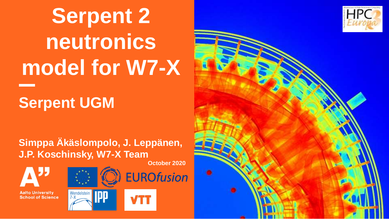# **Serpent 2 neutronics model for W7-X**

#### **Serpent UGM**

**Simppa Äkäslompolo, J. Leppänen, J.P. Koschinsky, W7-X Team**

**October 2020**





**EUROfusion** 

**Aalto University School of Science** 



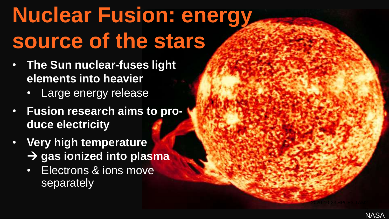#### **Nuclear Fusion: energy source of the stars**

- **The Sun nuclear-fuses light elements into heavier**
	- Large energy release
- **Fusion research aims to produce electricity**
- **Very high temperature**  → **gas ionized into plasma**
	- Electrons & ions move separately

2020-10-23 HPCE3 TAM2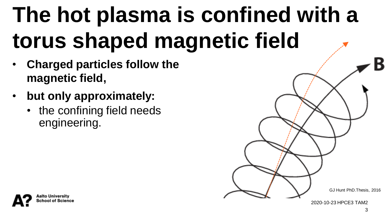#### **The hot plasma is confined with a torus shaped magnetic field**

- **Charged particles follow the magnetic field,**
- **but only approximately:**
	- the confining field needs engineering.

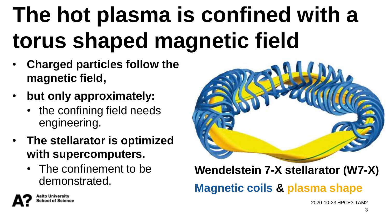#### **The hot plasma is confined with a torus shaped magnetic field**

- **Charged particles follow the magnetic field,**
- **but only approximately:**
	- the confining field needs engineering.
- **The stellarator is optimized with supercomputers.**
	- The confinement to be demonstrated.



#### **Wendelstein 7-X stellarator (W7-X) Magnetic coils & plasma shape**

2020-10-23 HPCE3 TAM2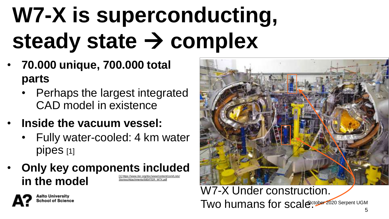## **W7-X is superconducting, steady state** → **complex**

- **70.000 unique, 700.000 total parts**
	- Perhaps the largest integrated CAD model in existence
- **Inside the vacuum vessel:**

alto University ool of Science

- Fully water-cooled: 4 km water pipes [1]
- **Only key components included in the model** [\[1\] https://www.iter.org/doc/www/content/com/Lists/](https://www.iter.org/doc/www/content/com/Lists/Stories/Attachments/680/ITER_W7X.pdf) Stories/Attachments/680/ITER\_W7X.pdf



Two humans for scale<sup>ctober 2020 Serpent UGM</sup> W7-X Under construction.

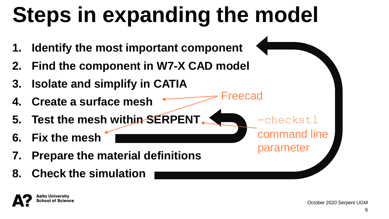#### **Steps in expanding the model**

Freecad

-checkstl

parameter

command line

- **1. Identify the most important component**
- **2. Find the component in W7-X CAD model**
- **3. Isolate and simplify in CATIA**
- **4. Create a surface mesh**
- **5. Test the mesh within SERPENT**
- **6. Fix the mesh**
- **7. Prepare the material definitions**
- **8. Check the simulation**

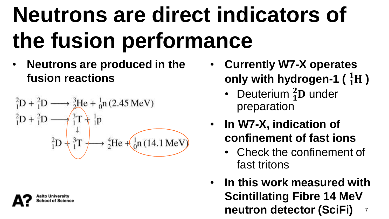#### **Neutrons are direct indicators of the fusion performance**

• **Neutrons are produced in the fusion reactions**

$$
{}_{1}^{2}D + {}_{1}^{2}D \longrightarrow \frac{3}{2}He + {}_{0}^{1}n (2.45 \text{ MeV})
$$
  

$$
{}_{1}^{2}D + {}_{1}^{2}D \longrightarrow \frac{3}{1}T + {}_{1}^{1}p
$$
  

$$
{}_{1}^{2}D + {}_{1}^{3}T \longrightarrow {}_{2}^{4}He + ({}_{0}^{1}n (14.1 \text{ MeV}))
$$



- **Currently W7-X operates only with hydrogen-1 ( )**
	- Deuterium  ${}^{2}_{1}D$  under preparation
- **In W7-X, indication of confinement of fast ions**
	- Check the confinement of fast tritons
- **In this work measured with Scintillating Fibre 14 MeV neutron detector (SciFi)** 7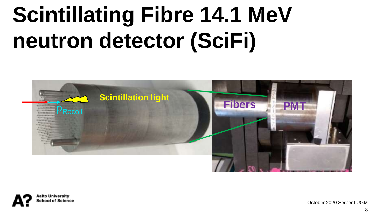#### **Scintillating Fibre 14.1 MeV neutron detector (SciFi)**



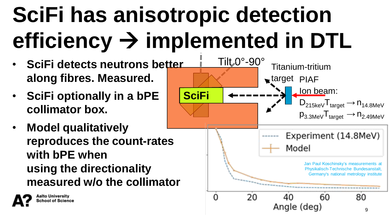## **SciFi has anisotropic detection efficiency** → **implemented in DTL**

- **SciFi detects neutrons better along fibres. Measured.**
- **SciFi optionally in a bPE collimator box.**
- **Model qualitatively reproduces the count-rates with bPE when using the directionality measured w/o the collimator**

alto University

ool of Science

target PIAF Ion beam: **SciFi** $D_{215keV}T_{target} \rightarrow n_{14.8MeV}$  $p_{3.3\text{MeV}}T_{\text{target}} \rightarrow n_{2.49\text{MeV}}$ Experiment (14.8MeV) Model Jan Paul Koschinsky's measurements at Physikalisch-Technische Bundesanstalt, Germany's national metrology institute 20  $\Omega$ 40 60 80 Angle (deg) 9

Titanium-tritium

Tilt 0°-90°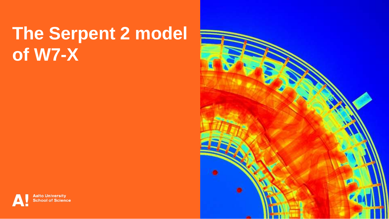#### **The Serpent 2 model of W7-X**



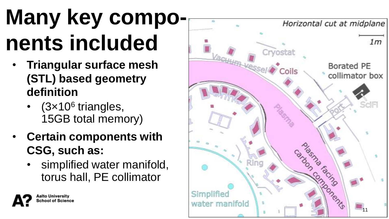## **Many key compo nents included**

- **Triangular surface mesh (STL) based geometry definition** 
	- (3×10<sup>6</sup> triangles, 15GB total memory )
- **Certain components with CSG, such as:**

alto University ool of Science

• simplified water manifold, torus hall, PE collimator

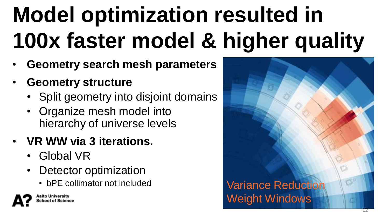## **Model optimization resulted in 100x faster model & higher quality**

- **Geometry search mesh parameters**
- **Geometry structure**
	- Split geometry into disjoint domains
	- Organize mesh model into hierarchy of universe levels
- **VR WW via 3 iterations.**
	- Global VR
	- Detector optimization
		-



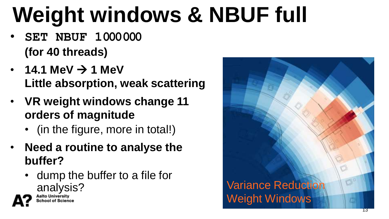## **Weight windows & NBUF full**

- **SET NBUF 1000000 (for 40 threads)**
- $14.1$  MeV  $\rightarrow$  1 MeV **Little absorption, weak scattering**
- **VR weight windows change 11 orders of magnitude** 
	- (in the figure, more in total!)
- **Need a routine to analyse the buffer?**
	- dump the buffer to a file for analysis?

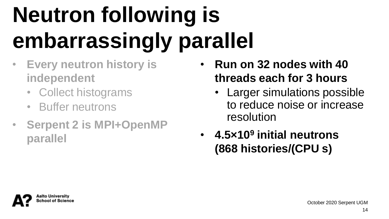## **Neutron following is embarrassingly parallel**

- **Every neutron history is independent**
	- Collect histograms
	- Buffer neutrons
- **Serpent 2 is MPI+OpenMP parallel**
- **Run on 32 nodes with 40 threads each for 3 hours**
	- Larger simulations possible to reduce noise or increase resolution
- **4.5×10<sup>9</sup> initial neutrons (868 histories/(CPU s)**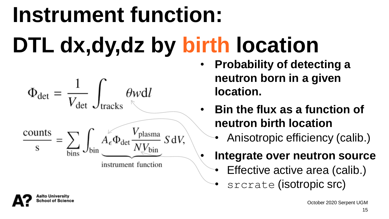#### October 2020 Serpent UGM

# **Instrument function: DTL dx,dy,dz by birth location**

- $\Phi_{\text{det}} = \frac{1}{V_{\text{det}}} \int_{\text{trivial}} \theta w dl$  $\frac{\text{counts}}{\text{s}} = \sum_{\text{bin}} \int_{\text{bin}} A_{\epsilon} \Phi_{\text{det}} \frac{V_{\text{plasma}}}{N V_{\text{bin}}} S dV,$ instrument function
- **Probability of detecting a neutron born in a given location.**
	- **Bin the flux as a function of neutron birth location**
		- Anisotropic efficiency (calib.)
		- **Integrate over neutron source**
			- Effective active area (calib.)
			- srcrate (isotropic src)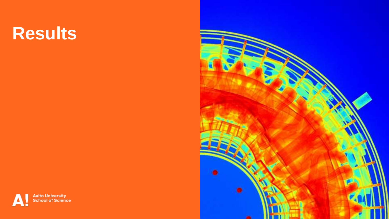#### **Results**



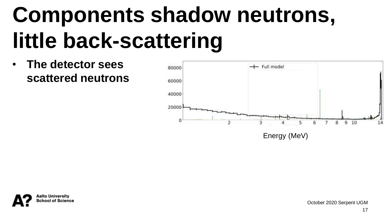#### **Components shadow neutrons, little back-scattering**

• **The detector sees scattered neutrons**



Energy (MeV)

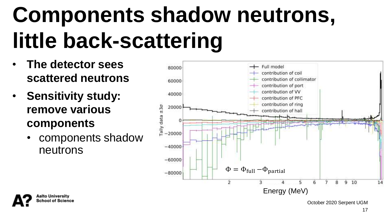#### **Components shadow neutrons, little back-scattering**

- **The detector sees scattered neutrons**
- **Sensitivity study: remove various components**
	- components shadow neutrons



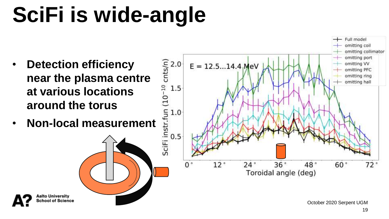#### **SciFi is wide-angle**

- **Detection efficiency near the plasma centre at various locations around the torus**
- **Non-local measurement**

alto University hool of Science

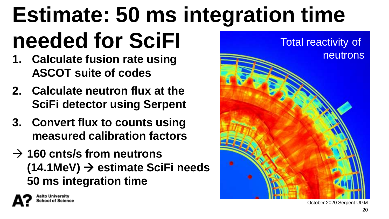## **Estimate: 50 ms integration time needed for SciFI**

- **1. Calculate fusion rate using ASCOT suite of codes**
- **2. Calculate neutron flux at the SciFi detector using Serpent**
- **3. Convert flux to counts using measured calibration factors**
- → **160 cnts/s from neutrons (14.1MeV)** → **estimate SciFi needs 50 ms integration time**



October 2020 Serpent UGM

20